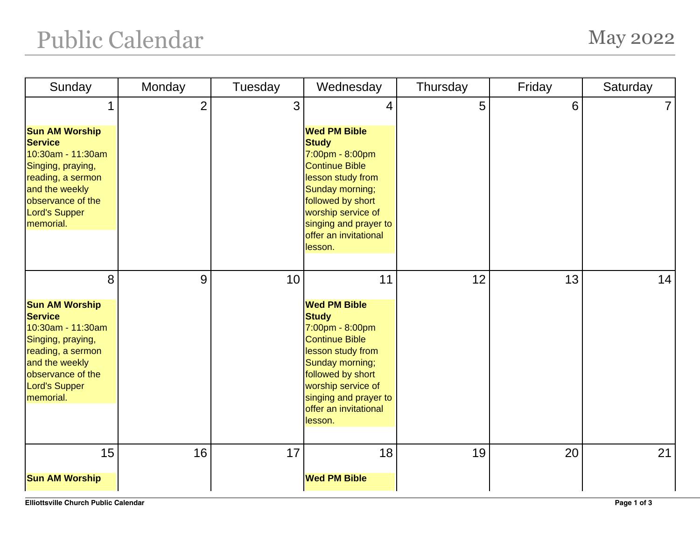## Public Calendar May 2022

| Sunday                                                                                                                                                                             | Monday         | Tuesday | Wednesday                                                                                                                                                                                                                       | Thursday | Friday | Saturday |
|------------------------------------------------------------------------------------------------------------------------------------------------------------------------------------|----------------|---------|---------------------------------------------------------------------------------------------------------------------------------------------------------------------------------------------------------------------------------|----------|--------|----------|
|                                                                                                                                                                                    | $\overline{2}$ | 3       | 4                                                                                                                                                                                                                               | 5        | 6      |          |
| <b>Sun AM Worship</b><br><b>Service</b><br>10:30am - 11:30am<br>Singing, praying,<br>reading, a sermon<br>and the weekly<br>observance of the<br><b>Lord's Supper</b><br>memorial. |                |         | <b>Wed PM Bible</b><br><b>Study</b><br>7:00pm - 8:00pm<br><b>Continue Bible</b><br>lesson study from<br>Sunday morning;<br>followed by short<br>worship service of<br>singing and prayer to<br>offer an invitational<br>lesson. |          |        |          |
| 8                                                                                                                                                                                  | 9              | 10      | 11                                                                                                                                                                                                                              | 12       | 13     | 14       |
| <b>Sun AM Worship</b><br><b>Service</b><br>10:30am - 11:30am<br>Singing, praying,<br>reading, a sermon<br>and the weekly<br>observance of the<br><b>Lord's Supper</b><br>memorial. |                |         | <b>Wed PM Bible</b><br><b>Study</b><br>7:00pm - 8:00pm<br><b>Continue Bible</b><br>lesson study from<br>Sunday morning;<br>followed by short<br>worship service of<br>singing and prayer to<br>offer an invitational<br>lesson. |          |        |          |
| 15                                                                                                                                                                                 | 16             | 17      | 18                                                                                                                                                                                                                              | 19       | 20     | 21       |
| <b>Sun AM Worship</b>                                                                                                                                                              |                |         | <b>Wed PM Bible</b>                                                                                                                                                                                                             |          |        |          |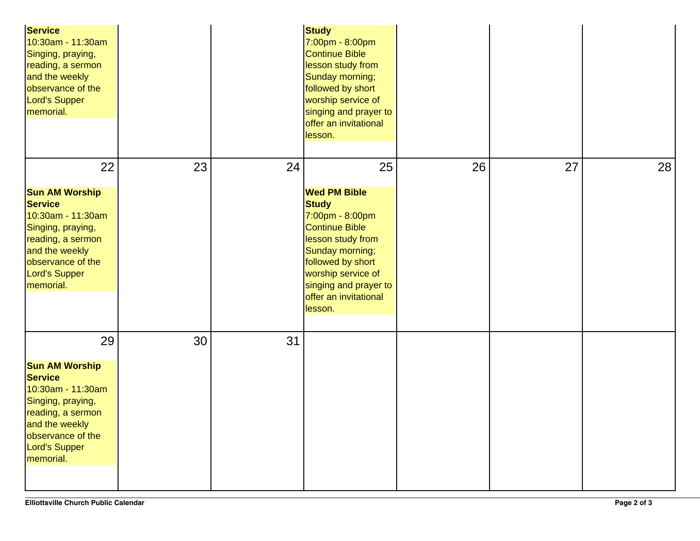| <b>Service</b><br>10:30am - 11:30am<br>Singing, praying,<br>reading, a sermon<br>and the weekly<br>observance of the<br>Lord's Supper<br>memorial.                                       |    |    | <b>Study</b><br>7:00pm - 8:00pm<br><b>Continue Bible</b><br>lesson study from<br>Sunday morning;<br>followed by short<br>worship service of<br>singing and prayer to<br>offer an invitational<br>lesson.                        |    |    |    |
|------------------------------------------------------------------------------------------------------------------------------------------------------------------------------------------|----|----|---------------------------------------------------------------------------------------------------------------------------------------------------------------------------------------------------------------------------------|----|----|----|
| 22                                                                                                                                                                                       | 23 | 24 | 25                                                                                                                                                                                                                              | 26 | 27 | 28 |
| <b>Sun AM Worship</b><br><b>Service</b><br>10:30am - 11:30am<br>Singing, praying,<br>reading, a sermon<br>and the weekly<br>observance of the<br>Lord's Supper<br>memorial.              |    |    | <b>Wed PM Bible</b><br><b>Study</b><br>7:00pm - 8:00pm<br><b>Continue Bible</b><br>lesson study from<br>Sunday morning;<br>followed by short<br>worship service of<br>singing and prayer to<br>offer an invitational<br>lesson. |    |    |    |
| 29<br><b>Sun AM Worship</b><br><b>Service</b><br>10:30am - 11:30am<br>Singing, praying,<br>reading, a sermon<br>and the weekly<br>observance of the<br><b>Lord's Supper</b><br>memorial. | 30 | 31 |                                                                                                                                                                                                                                 |    |    |    |